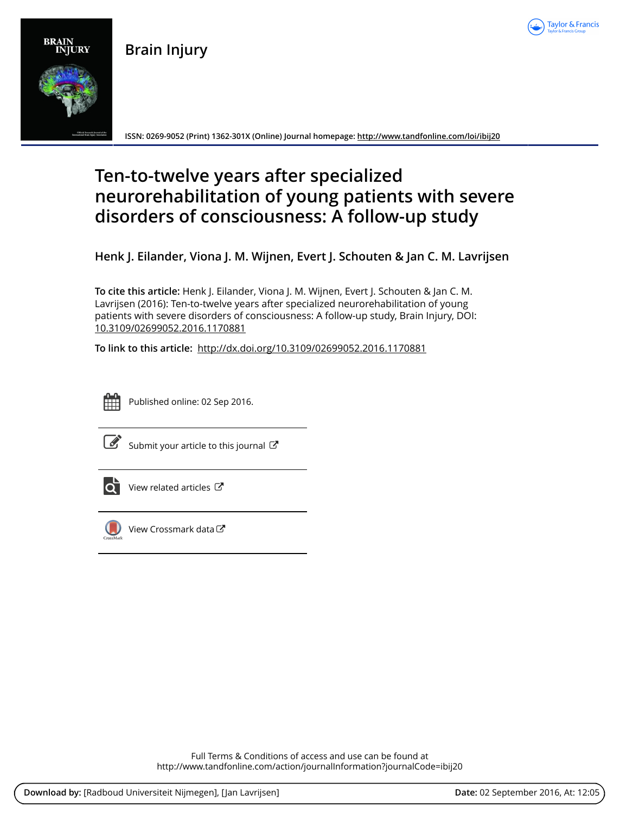

**Brain Injury**



**ISSN: 0269-9052 (Print) 1362-301X (Online) Journal homepage: <http://www.tandfonline.com/loi/ibij20>**

# **Ten-to-twelve years after specialized neurorehabilitation of young patients with severe disorders of consciousness: A follow-up study**

**Henk J. Eilander, Viona J. M. Wijnen, Evert J. Schouten & Jan C. M. Lavrijsen**

**To cite this article:** Henk J. Eilander, Viona J. M. Wijnen, Evert J. Schouten & Jan C. M. Lavrijsen (2016): Ten-to-twelve years after specialized neurorehabilitation of young patients with severe disorders of consciousness: A follow-up study, Brain Injury, DOI: [10.3109/02699052.2016.1170881](http://www.tandfonline.com/action/showCitFormats?doi=10.3109/02699052.2016.1170881)

**To link to this article:** <http://dx.doi.org/10.3109/02699052.2016.1170881>



Published online: 02 Sep 2016.



 $\overline{\mathscr{L}}$  [Submit your article to this journal](http://www.tandfonline.com/action/authorSubmission?journalCode=ibij20&show=instructions)  $\mathbb{Z}$ 



 $\overline{Q}$  [View related articles](http://www.tandfonline.com/doi/mlt/10.3109/02699052.2016.1170881)  $\mathbb{Z}$ 



[View Crossmark data](http://crossmark.crossref.org/dialog/?doi=10.3109/02699052.2016.1170881&domain=pdf&date_stamp=2016-09-02)

Full Terms & Conditions of access and use can be found at <http://www.tandfonline.com/action/journalInformation?journalCode=ibij20>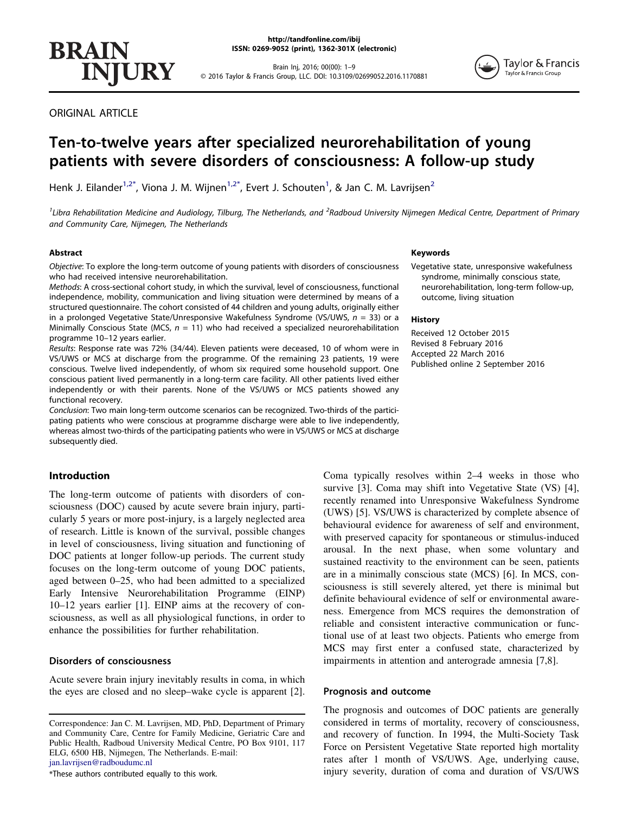Brain Inj, 2016; 00(00): 1–9 © 2016 Taylor & Francis Group, LLC. DOI: 10.3109/02699052.2016.1170881



ORIGINAL ARTICLE

**INJURY** 

**BRAIN** 

# Ten-to-twelve years after specialized neurorehabilitation of young patients with severe disorders of consciousness: A follow-up study

Henk J. Eilander $^{1,2^*}$  $^{1,2^*}$  $^{1,2^*}$  $^{1,2^*}$  $^{1,2^*}$ , Viona J. M. Wijnen $^{1,2^*}$  $^{1,2^*}$  $^{1,2^*}$  $^{1,2^*}$  $^{1,2^*}$ , Evert J. Schouten $^1$ , & Jan C. M. Lavrijsen $^2$ 

<span id="page-1-0"></span><sup>1</sup>Libra Rehabilitation Medicine and Audiology, Tilburg, The Netherlands, and <sup>2</sup>Radboud University Nijmegen Medical Centre, Department of Primary and Community Care, Nijmegen, The Netherlands

## Abstract

Objective: To explore the long-term outcome of young patients with disorders of consciousness who had received intensive neurorehabilitation.

Methods: A cross-sectional cohort study, in which the survival, level of consciousness, functional independence, mobility, communication and living situation were determined by means of a structured questionnaire. The cohort consisted of 44 children and young adults, originally either in a prolonged Vegetative State/Unresponsive Wakefulness Syndrome (VS/UWS,  $n = 33$ ) or a Minimally Conscious State (MCS,  $n = 11$ ) who had received a specialized neurorehabilitation programme 10–12 years earlier.

Results: Response rate was 72% (34/44). Eleven patients were deceased, 10 of whom were in VS/UWS or MCS at discharge from the programme. Of the remaining 23 patients, 19 were conscious. Twelve lived independently, of whom six required some household support. One conscious patient lived permanently in a long-term care facility. All other patients lived either independently or with their parents. None of the VS/UWS or MCS patients showed any functional recovery.

Conclusion: Two main long-term outcome scenarios can be recognized. Two-thirds of the participating patients who were conscious at programme discharge were able to live independently, whereas almost two-thirds of the participating patients who were in VS/UWS or MCS at discharge subsequently died.

# Introduction

The long-term outcome of patients with disorders of consciousness (DOC) caused by acute severe brain injury, particularly 5 years or more post-injury, is a largely neglected area of research. Little is known of the survival, possible changes in level of consciousness, living situation and functioning of DOC patients at longer follow-up periods. The current study focuses on the long-term outcome of young DOC patients, aged between 0–25, who had been admitted to a specialized Early Intensive Neurorehabilitation Programme (EINP) 10–12 years earlier [1]. EINP aims at the recovery of consciousness, as well as all physiological functions, in order to enhance the possibilities for further rehabilitation.

# Disorders of consciousness

Acute severe brain injury inevitably results in coma, in which the eyes are closed and no sleep–wake cycle is apparent [2].

<span id="page-1-1"></span>\*These authors contributed equally to this work.

# Keywords

Vegetative state, unresponsive wakefulness syndrome, minimally conscious state, neurorehabilitation, long-term follow-up, outcome, living situation

#### **History**

Received 12 October 2015 Revised 8 February 2016 Accepted 22 March 2016 Published online 2 September 2016

Coma typically resolves within 2–4 weeks in those who survive [3]. Coma may shift into Vegetative State (VS) [4], recently renamed into Unresponsive Wakefulness Syndrome (UWS) [5]. VS/UWS is characterized by complete absence of behavioural evidence for awareness of self and environment, with preserved capacity for spontaneous or stimulus-induced arousal. In the next phase, when some voluntary and sustained reactivity to the environment can be seen, patients are in a minimally conscious state (MCS) [6]. In MCS, consciousness is still severely altered, yet there is minimal but definite behavioural evidence of self or environmental awareness. Emergence from MCS requires the demonstration of reliable and consistent interactive communication or functional use of at least two objects. Patients who emerge from MCS may first enter a confused state, characterized by impairments in attention and anterograde amnesia [7,8].

#### Prognosis and outcome

The prognosis and outcomes of DOC patients are generally considered in terms of mortality, recovery of consciousness, and recovery of function. In 1994, the Multi-Society Task Force on Persistent Vegetative State reported high mortality rates after 1 month of VS/UWS. Age, underlying cause, injury severity, duration of coma and duration of VS/UWS

Correspondence: Jan C. M. Lavrijsen, MD, PhD, Department of Primary and Community Care, Centre for Family Medicine, Geriatric Care and Public Health, Radboud University Medical Centre, PO Box 9101, 117 ELG, 6500 HB, Nijmegen, The Netherlands. E-mail: jan.lavrijsen@radboudumc.nl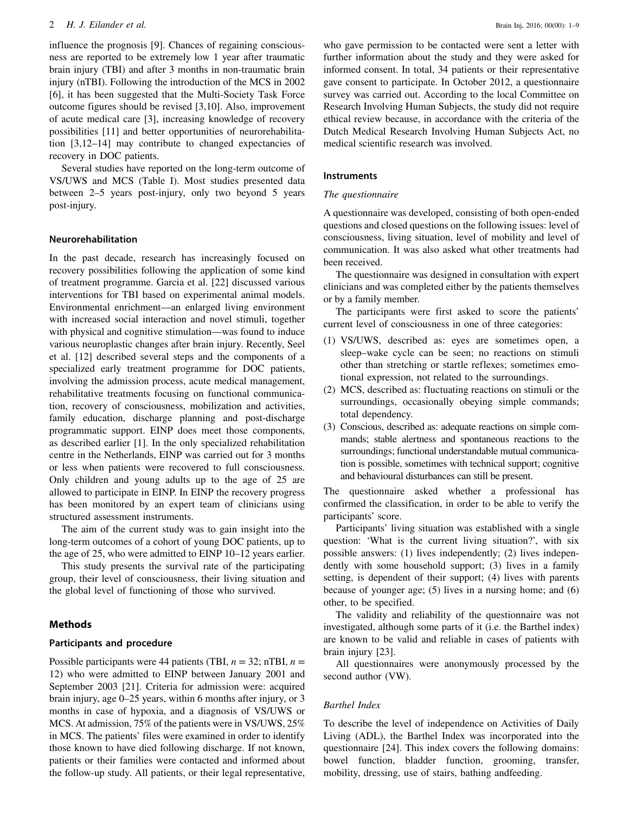influence the prognosis [9]. Chances of regaining consciousness are reported to be extremely low 1 year after traumatic brain injury (TBI) and after 3 months in non-traumatic brain injury (nTBI). Following the introduction of the MCS in 2002 [6], it has been suggested that the Multi-Society Task Force outcome figures should be revised [3,10]. Also, improvement of acute medical care [3], increasing knowledge of recovery possibilities [11] and better opportunities of neurorehabilitation [3,12–14] may contribute to changed expectancies of recovery in DOC patients.

Several studies have reported on the long-term outcome of VS/UWS and MCS (Table I). Most studies presented data between 2–5 years post-injury, only two beyond 5 years post-injury.

#### Neurorehabilitation

In the past decade, research has increasingly focused on recovery possibilities following the application of some kind of treatment programme. Garcia et al. [22] discussed various interventions for TBI based on experimental animal models. Environmental enrichment—an enlarged living environment with increased social interaction and novel stimuli, together with physical and cognitive stimulation—was found to induce various neuroplastic changes after brain injury. Recently, Seel et al. [12] described several steps and the components of a specialized early treatment programme for DOC patients, involving the admission process, acute medical management, rehabilitative treatments focusing on functional communication, recovery of consciousness, mobilization and activities, family education, discharge planning and post-discharge programmatic support. EINP does meet those components, as described earlier [1]. In the only specialized rehabilitation centre in the Netherlands, EINP was carried out for 3 months or less when patients were recovered to full consciousness. Only children and young adults up to the age of 25 are allowed to participate in EINP. In EINP the recovery progress has been monitored by an expert team of clinicians using structured assessment instruments.

The aim of the current study was to gain insight into the long-term outcomes of a cohort of young DOC patients, up to the age of 25, who were admitted to EINP 10–12 years earlier.

This study presents the survival rate of the participating group, their level of consciousness, their living situation and the global level of functioning of those who survived.

# Methods

# Participants and procedure

Possible participants were 44 patients (TBI,  $n = 32$ ; nTBI,  $n =$ 12) who were admitted to EINP between January 2001 and September 2003 [21]. Criteria for admission were: acquired brain injury, age 0–25 years, within 6 months after injury, or 3 months in case of hypoxia, and a diagnosis of VS/UWS or MCS. At admission, 75% of the patients were in VS/UWS, 25% in MCS. The patients' files were examined in order to identify those known to have died following discharge. If not known, patients or their families were contacted and informed about the follow-up study. All patients, or their legal representative, who gave permission to be contacted were sent a letter with further information about the study and they were asked for informed consent. In total, 34 patients or their representative gave consent to participate. In October 2012, a questionnaire survey was carried out. According to the local Committee on Research Involving Human Subjects, the study did not require ethical review because, in accordance with the criteria of the Dutch Medical Research Involving Human Subjects Act, no medical scientific research was involved.

# Instruments

#### The questionnaire

A questionnaire was developed, consisting of both open-ended questions and closed questions on the following issues: level of consciousness, living situation, level of mobility and level of communication. It was also asked what other treatments had been received.

The questionnaire was designed in consultation with expert clinicians and was completed either by the patients themselves or by a family member.

The participants were first asked to score the patients' current level of consciousness in one of three categories:

- (1) VS/UWS, described as: eyes are sometimes open, a sleep–wake cycle can be seen; no reactions on stimuli other than stretching or startle reflexes; sometimes emotional expression, not related to the surroundings.
- (2) MCS, described as: fluctuating reactions on stimuli or the surroundings, occasionally obeying simple commands; total dependency.
- (3) Conscious, described as: adequate reactions on simple commands; stable alertness and spontaneous reactions to the surroundings; functional understandable mutual communication is possible, sometimes with technical support; cognitive and behavioural disturbances can still be present.

The questionnaire asked whether a professional has confirmed the classification, in order to be able to verify the participants' score.

Participants' living situation was established with a single question: 'What is the current living situation?', with six possible answers: (1) lives independently; (2) lives independently with some household support; (3) lives in a family setting, is dependent of their support; (4) lives with parents because of younger age; (5) lives in a nursing home; and (6) other, to be specified.

The validity and reliability of the questionnaire was not investigated, although some parts of it (i.e. the Barthel index) are known to be valid and reliable in cases of patients with brain injury [23].

All questionnaires were anonymously processed by the second author (VW).

#### Barthel Index

To describe the level of independence on Activities of Daily Living (ADL), the Barthel Index was incorporated into the questionnaire [24]. This index covers the following domains: bowel function, bladder function, grooming, transfer, mobility, dressing, use of stairs, bathing andfeeding.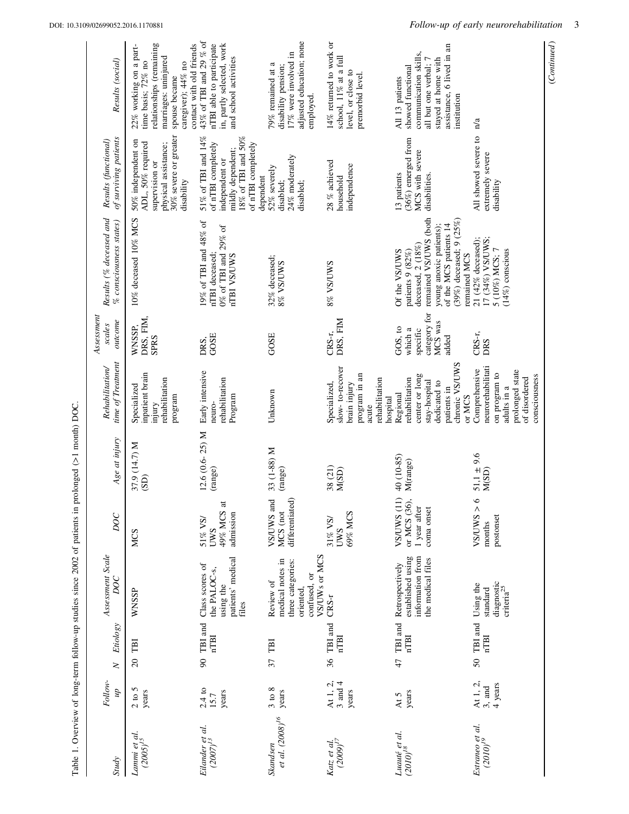| <b>Study</b>                                      | Follow-<br>фı                 | <b>Etiology</b><br>$\geq$                                                                 | Assessment Scale<br>DOC                                                                          | DOC                                                       | Age at injury              | time of Treatment<br>Rehabilitation                                                                                      | Assessment<br>outcome<br>scales                                    | Results (% deceased and<br>$%$ consciousness states)                                                                                                                                 | of surviving patients<br>Results (functional)                                                                                            | Results (social)                                                                                                                                                    |
|---------------------------------------------------|-------------------------------|-------------------------------------------------------------------------------------------|--------------------------------------------------------------------------------------------------|-----------------------------------------------------------|----------------------------|--------------------------------------------------------------------------------------------------------------------------|--------------------------------------------------------------------|--------------------------------------------------------------------------------------------------------------------------------------------------------------------------------------|------------------------------------------------------------------------------------------------------------------------------------------|---------------------------------------------------------------------------------------------------------------------------------------------------------------------|
| <i>et al.</i><br>(2005) <sup>15</sup><br>Lammi et | n<br>years<br>2 to            | ΓBI<br>$\overline{c}$                                                                     | WNSSP                                                                                            | <b>MCS</b>                                                | 37.9 (14.7) M<br>(SD)      | inpatient brain<br>rehabilitation<br>Specialized<br>program<br>mjury                                                     | DRS, FIM,<br>WNSSP,<br><b>SPRS</b>                                 | 10% deceased 10% MCS                                                                                                                                                                 | 30% severe or greater<br>50% independent on<br>ADL, 50% required<br>physical assistance;<br>supervision or<br>disability                 | relationships (remaining<br>contact with old friends<br>22% working on a part-<br>marriages: uninjured<br>time basis; 72% no<br>caregiver); 44% no<br>spouse became |
| Eilander et al.<br>$(2007)^{13}$                  | 2.4 to<br>years<br>15.7       | TBI and<br>nTBI<br>$\infty$                                                               | patients' medical<br>Class scores of<br>the PALOC-s,<br>using the<br>files                       | 49% MCS at<br>admission<br>51% VS/<br><b>CAAD</b>         | 12.6 (0.6-25) M<br>(range) | Early intensive<br>rehabilitation<br>Program<br>neuro-                                                                   | GOSE<br>DRS.                                                       | 19% of TBI and 48% of<br>$0\%$ of TBI and 29% of<br>nTBI deceased;<br>nTBI VS/UWS                                                                                                    | 51% of TBI and 14%<br>18% of TBI and 50%<br>of nTBI completely<br>of nTBI completely<br>mildly dependent;<br>independent or<br>dependent | 43% of TBI and 29 % of<br>nTBI able to participate<br>in, partly selected, work<br>and school activities                                                            |
| et al. $(2008)^{16}$<br><b>Skandsen</b>           | $3$ to $8$<br>years           | TBI<br>37                                                                                 | VS/UWs or MCS<br>medical notes in<br>three categories:<br>confused, or<br>Review of<br>oriented, | differentiated)<br>VS/UWS and<br>MCS (not                 | 33 (1-88) M<br>(range)     | Unknown                                                                                                                  | GOSE                                                               | 32% deceased;<br>8% VS/UWS                                                                                                                                                           | 24% moderately<br>52% severely<br>disabled;<br>disabled;                                                                                 | adjusted education; none<br>17% were involved in<br>79% remained at a<br>disability pension;<br>employed.                                                           |
| Katz et al.<br>(2009) <sup>17</sup>               | At 1, 2, $3$ and 4<br>years   | TBI and<br><b>nTBI</b><br>36                                                              | CRS-r                                                                                            | 69% MCS<br>31% VS/<br><b>UWS</b>                          | 38 (21)<br>M(SD)           | slow-to-recover<br>program in an<br>rehabilitation<br>brain injury<br>Specialized,<br>hospital<br>acute                  | DRS, FIM<br>CRS-r,                                                 | 8% VS/UWS                                                                                                                                                                            | 28 % achieved<br>independence<br>household                                                                                               | $14\%$ returned to work or<br>school, 11% at a full<br>level, or close to<br>premorbid level.                                                                       |
| Lucaté et al.<br>$(2010)^{18}$                    | years<br>At 5                 | $\ensuremath{\mathsf{T}}\ensuremath{\mathsf{B}}\ensuremath{\mathsf{I}}$ and<br>nTBI<br>47 | established using<br>information from<br>the medical files<br>Retrospectively                    | VS/UWS (11)<br>or MCS (36),<br>1 year after<br>coma onset | 40 (10-85)<br>M(range)     | chronic VS/UWS<br>center or long<br>rehabilitation<br>stay-hospital<br>dedicated to<br>patients in<br>Regional<br>or MCS | category for<br>MCS was<br>GOS, to<br>which a<br>specific<br>added | remained VS/UWS (both<br>$(39\%)$ deceased; $9(25\%)$<br>of the MCS patients 14<br>young anoxic patients);<br>deceased, 2 (18%)<br>Of the VS/UWS<br>patients 9 (82%)<br>remained MCS | $(36\%)$ emerged from<br>MCS with severe<br>13 patients<br>disabilities.                                                                 | assistance, 6 lived in an<br>communication skills,<br>stayed at home with<br>all but one verbal; 7<br>showed functional<br>All 13 patients<br>institution           |
| Estraneo et al.<br>$(2010)^{19}$                  | At 1, 2,<br>4 years<br>3, and | 50 TBI and<br><b>nTBI</b>                                                                 | $\frac{\rm diagnostic}{\rm criteria}^{25}$<br>Using the<br>standard                              | VSTUWS ><br>postonset<br>months                           | $51,1 \pm 9.6$<br>M(SD)    | neurorehabilitati<br>Comprehensive<br>prolonged state<br>on program to<br>consciousness<br>of disordered<br>adults in a  | CRS-r,<br>DRS                                                      | 17 (34%) VS/UWS;<br>21 (42% deceased);<br>5 (10%) MCS; 7<br>$(14\%)$ conscious                                                                                                       | All showed severe to<br>extremely severe<br>disability                                                                                   | n/a                                                                                                                                                                 |
|                                                   |                               |                                                                                           |                                                                                                  |                                                           |                            |                                                                                                                          |                                                                    |                                                                                                                                                                                      |                                                                                                                                          | (Continued)                                                                                                                                                         |

Table 1. Overview of long-term follow-up studies since 2002 of patients in prolonged (>1 month) DOC. Table 1. Overview of long-term follow-up studies since 2002 of patients in prolonged (>1 month) DOC.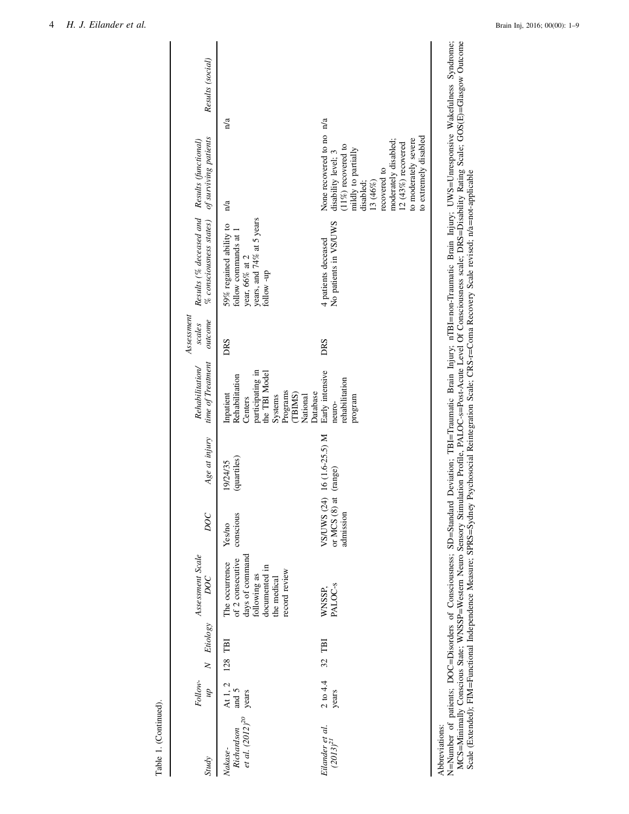| <b>Study</b>                                  | Follow-<br>$\overline{d}$   | N Etiology | Assessment Scale<br>DOC                                                                                                | DOC                                         | Age at injury              | time of Treatment<br>Rehabilitation/                                                                                                  | Assessment<br>outcome<br>scales | $%$ consciousness states) of surviving patients<br>Results (% deceased and Results (functional)           |                                                                                                                                                                                                                                           | Results (social) |
|-----------------------------------------------|-----------------------------|------------|------------------------------------------------------------------------------------------------------------------------|---------------------------------------------|----------------------------|---------------------------------------------------------------------------------------------------------------------------------------|---------------------------------|-----------------------------------------------------------------------------------------------------------|-------------------------------------------------------------------------------------------------------------------------------------------------------------------------------------------------------------------------------------------|------------------|
| et al. $(2012)^{20}$<br>Richardson<br>Nakase- | At 1, 2<br>and $5$<br>years | 128 TBI    | of 2 consecutive<br>days of command<br>following as<br>The occurrence<br>documented in<br>record review<br>the medical | conscious<br>Yes/no                         | (quartiles)<br>19/24/35    | participating in<br>the TBI Model<br>Rehabilitation<br>Programs<br>Database<br>(TBIMS)<br>Inpatient<br>National<br>Systems<br>Centers | DRS                             | years, and 74% at 5 years<br>59% regained ability to<br>follow commands at<br>year, 66% at 2<br>follow-up | n/a                                                                                                                                                                                                                                       | $\frac{1}{a}$    |
| Eilander et al.<br>$(2013)^{21}$              | $2$ to $4.4$<br>years       | 32 TBI     | PALOC-S<br>WNSSP,                                                                                                      | VS/UWS (24)<br>or MCS $(8)$ at<br>admission | 16 (1.6-25.5) M<br>(range) | Early intensive<br>rehabilitation<br>program<br>neuro-                                                                                | DRS                             | No patients in VS/UWS<br>4 patients deceased                                                              | None recovered to no n/a<br>to extremely disabled<br>to moderately severe<br>moderately disabled;<br>12 $(43%)$ recovered<br>$(11\%)$ recovered to<br>mildly to partially<br>disability level; 3<br>recovered to<br>13 (46%)<br>disabled; |                  |

Table 1. (Continued). Table 1. (Continued).

N=Number of patients; DOC=Disorders of Consciousness; SD=Standard Deviation; TBI=Traumatic Brain Injury; nTBI=non-Traumatic Brain Injury; UWS=Unresponsive Wakefulness Syndrome;<br>MCS=Minimally Conscious State; WNSSP=Western MCS=Minimally Conscious State; WNSSP=Western Neuro Sensory Stimulation Profile, PALOC-s=Post-Acute Level Of Consciousness scale; DRS=Disability Rating Scale; GOS(E)=Glasgow Outcome N=Number of patients; DOC=Disorders of Consciousness; SD=Standard Deviation; TBI=Traumatic Brain Injury; nTBI=non-Traumatic Brain Injury; UWS=Unresponsive Wakefulness Syndrome; Scale (Extended); FIM=Functional Independence Measure; SPRS=Sydney Psychosocial Reintegration Scale; CRS-r=Coma Recovery Scale revised; n/a=not-applicable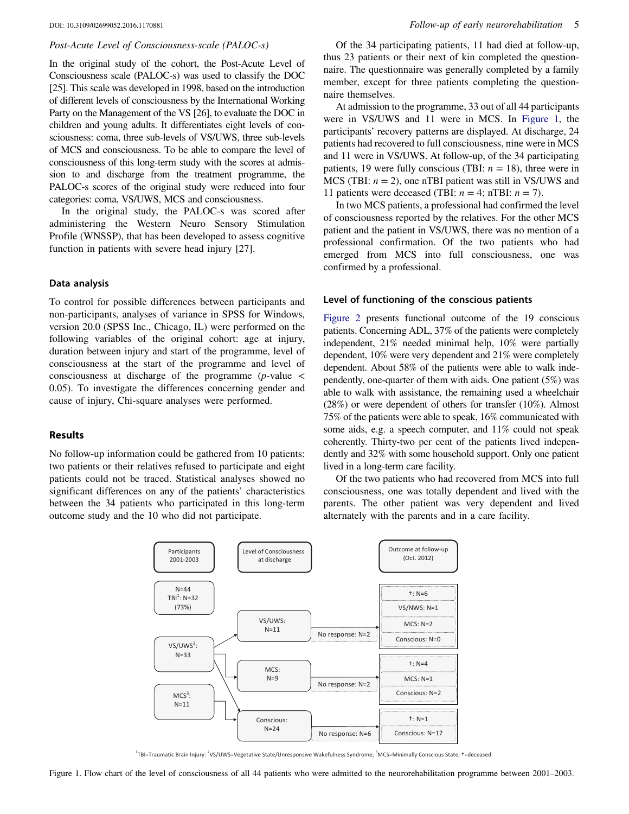# Post-Acute Level of Consciousness-scale (PALOC-s)

In the original study of the cohort, the Post-Acute Level of Consciousness scale (PALOC-s) was used to classify the DOC [25]. This scale was developed in 1998, based on the introduction of different levels of consciousness by the International Working Party on the Management of the VS [26], to evaluate the DOC in children and young adults. It differentiates eight levels of consciousness: coma, three sub-levels of VS/UWS, three sub-levels of MCS and consciousness. To be able to compare the level of consciousness of this long-term study with the scores at admission to and discharge from the treatment programme, the PALOC-s scores of the original study were reduced into four categories: coma, VS/UWS, MCS and consciousness.

In the original study, the PALOC-s was scored after administering the Western Neuro Sensory Stimulation Profile (WNSSP), that has been developed to assess cognitive function in patients with severe head injury [27].

#### Data analysis

To control for possible differences between participants and non-participants, analyses of variance in SPSS for Windows, version 20.0 (SPSS Inc., Chicago, IL) were performed on the following variables of the original cohort: age at injury, duration between injury and start of the programme, level of consciousness at the start of the programme and level of consciousness at discharge of the programme ( $p$ -value  $\lt$ 0.05). To investigate the differences concerning gender and cause of injury, Chi-square analyses were performed.

# Results

No follow-up information could be gathered from 10 patients: two patients or their relatives refused to participate and eight patients could not be traced. Statistical analyses showed no significant differences on any of the patients' characteristics between the 34 patients who participated in this long-term outcome study and the 10 who did not participate.

Of the 34 participating patients, 11 had died at follow-up, thus 23 patients or their next of kin completed the questionnaire. The questionnaire was generally completed by a family member, except for three patients completing the questionnaire themselves.

At admission to the programme, 33 out of all 44 participants were in VS/UWS and 11 were in MCS. In [Figure 1](#page-5-0), the participants' recovery patterns are displayed. At discharge, 24 patients had recovered to full consciousness, nine were in MCS and 11 were in VS/UWS. At follow-up, of the 34 participating patients, 19 were fully conscious (TBI:  $n = 18$ ), three were in MCS (TBI:  $n = 2$ ), one nTBI patient was still in VS/UWS and 11 patients were deceased (TBI:  $n = 4$ ; nTBI:  $n = 7$ ).

In two MCS patients, a professional had confirmed the level of consciousness reported by the relatives. For the other MCS patient and the patient in VS/UWS, there was no mention of a professional confirmation. Of the two patients who had emerged from MCS into full consciousness, one was confirmed by a professional.

#### Level of functioning of the conscious patients

[Figure 2](#page-6-0) presents functional outcome of the 19 conscious patients. Concerning ADL, 37% of the patients were completely independent, 21% needed minimal help, 10% were partially dependent, 10% were very dependent and 21% were completely dependent. About 58% of the patients were able to walk independently, one-quarter of them with aids. One patient (5%) was able to walk with assistance, the remaining used a wheelchair (28%) or were dependent of others for transfer (10%). Almost 75% of the patients were able to speak, 16% communicated with some aids, e.g. a speech computer, and 11% could not speak coherently. Thirty-two per cent of the patients lived independently and 32% with some household support. Only one patient lived in a long-term care facility.

Of the two patients who had recovered from MCS into full consciousness, one was totally dependent and lived with the parents. The other patient was very dependent and lived alternately with the parents and in a care facility.



<sup>1</sup>TBI=Traumatic Brain Injury: <sup>2</sup>VS/UWS=Vegetative State/Unresponsive Wakefulness Syndrome; <sup>3</sup>MCS=Minimally Conscious State; †=deceased.

<span id="page-5-0"></span>Figure 1. Flow chart of the level of consciousness of all 44 patients who were admitted to the neurorehabilitation programme between 2001–2003.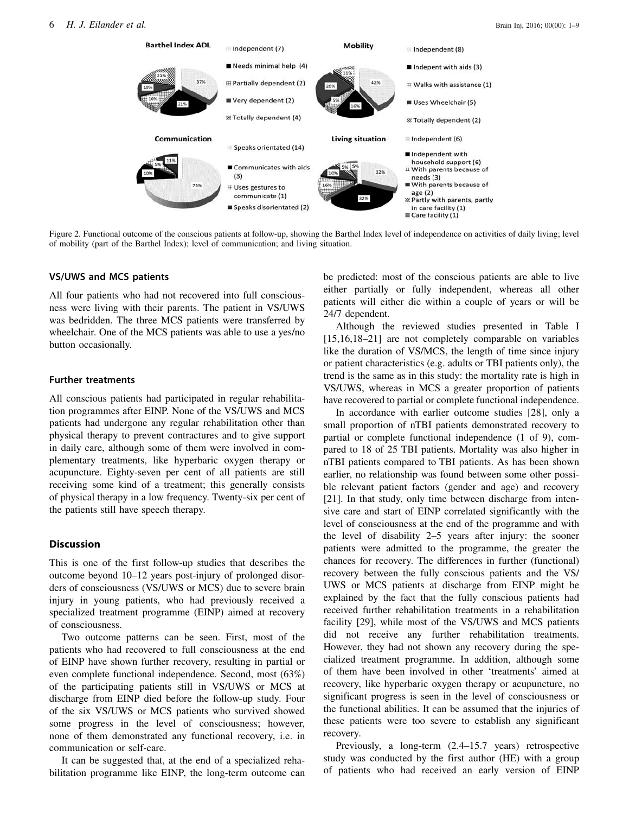

<span id="page-6-0"></span>Figure 2. Functional outcome of the conscious patients at follow-up, showing the Barthel Index level of independence on activities of daily living; level of mobility (part of the Barthel Index); level of communication; and living situation.

# VS/UWS and MCS patients

All four patients who had not recovered into full consciousness were living with their parents. The patient in VS/UWS was bedridden. The three MCS patients were transferred by wheelchair. One of the MCS patients was able to use a yes/no button occasionally.

#### Further treatments

All conscious patients had participated in regular rehabilitation programmes after EINP. None of the VS/UWS and MCS patients had undergone any regular rehabilitation other than physical therapy to prevent contractures and to give support in daily care, although some of them were involved in complementary treatments, like hyperbaric oxygen therapy or acupuncture. Eighty-seven per cent of all patients are still receiving some kind of a treatment; this generally consists of physical therapy in a low frequency. Twenty-six per cent of the patients still have speech therapy.

#### **Discussion**

This is one of the first follow-up studies that describes the outcome beyond 10–12 years post-injury of prolonged disorders of consciousness (VS/UWS or MCS) due to severe brain injury in young patients, who had previously received a specialized treatment programme (EINP) aimed at recovery of consciousness.

Two outcome patterns can be seen. First, most of the patients who had recovered to full consciousness at the end of EINP have shown further recovery, resulting in partial or even complete functional independence. Second, most (63%) of the participating patients still in VS/UWS or MCS at discharge from EINP died before the follow-up study. Four of the six VS/UWS or MCS patients who survived showed some progress in the level of consciousness; however, none of them demonstrated any functional recovery, i.e. in communication or self-care.

It can be suggested that, at the end of a specialized rehabilitation programme like EINP, the long-term outcome can be predicted: most of the conscious patients are able to live either partially or fully independent, whereas all other patients will either die within a couple of years or will be 24/7 dependent.

Although the reviewed studies presented in Table I [15,16,18–21] are not completely comparable on variables like the duration of VS/MCS, the length of time since injury or patient characteristics (e.g. adults or TBI patients only), the trend is the same as in this study: the mortality rate is high in VS/UWS, whereas in MCS a greater proportion of patients have recovered to partial or complete functional independence.

In accordance with earlier outcome studies [28], only a small proportion of nTBI patients demonstrated recovery to partial or complete functional independence (1 of 9), compared to 18 of 25 TBI patients. Mortality was also higher in nTBI patients compared to TBI patients. As has been shown earlier, no relationship was found between some other possible relevant patient factors (gender and age) and recovery [21]. In that study, only time between discharge from intensive care and start of EINP correlated significantly with the level of consciousness at the end of the programme and with the level of disability 2–5 years after injury: the sooner patients were admitted to the programme, the greater the chances for recovery. The differences in further (functional) recovery between the fully conscious patients and the VS/ UWS or MCS patients at discharge from EINP might be explained by the fact that the fully conscious patients had received further rehabilitation treatments in a rehabilitation facility [29], while most of the VS/UWS and MCS patients did not receive any further rehabilitation treatments. However, they had not shown any recovery during the specialized treatment programme. In addition, although some of them have been involved in other 'treatments' aimed at recovery, like hyperbaric oxygen therapy or acupuncture, no significant progress is seen in the level of consciousness or the functional abilities. It can be assumed that the injuries of these patients were too severe to establish any significant recovery.

Previously, a long-term (2.4–15.7 years) retrospective study was conducted by the first author (HE) with a group of patients who had received an early version of EINP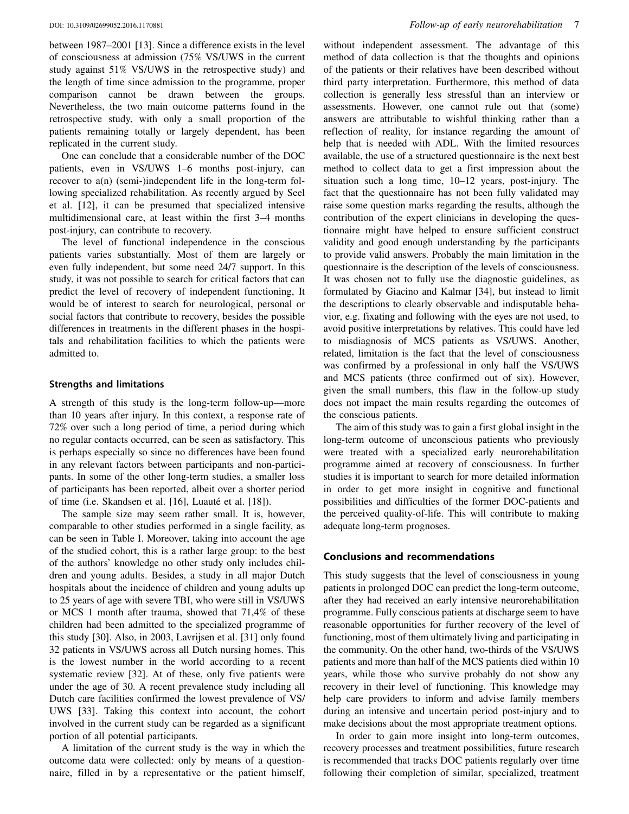between 1987–2001 [13]. Since a difference exists in the level of consciousness at admission (75% VS/UWS in the current study against 51% VS/UWS in the retrospective study) and the length of time since admission to the programme, proper comparison cannot be drawn between the groups. Nevertheless, the two main outcome patterns found in the retrospective study, with only a small proportion of the patients remaining totally or largely dependent, has been replicated in the current study.

One can conclude that a considerable number of the DOC patients, even in VS/UWS 1–6 months post-injury, can recover to a(n) (semi-)independent life in the long-term following specialized rehabilitation. As recently argued by Seel et al. [12], it can be presumed that specialized intensive multidimensional care, at least within the first 3–4 months post-injury, can contribute to recovery.

The level of functional independence in the conscious patients varies substantially. Most of them are largely or even fully independent, but some need 24/7 support. In this study, it was not possible to search for critical factors that can predict the level of recovery of independent functioning, It would be of interest to search for neurological, personal or social factors that contribute to recovery, besides the possible differences in treatments in the different phases in the hospitals and rehabilitation facilities to which the patients were admitted to.

#### Strengths and limitations

A strength of this study is the long-term follow-up—more than 10 years after injury. In this context, a response rate of 72% over such a long period of time, a period during which no regular contacts occurred, can be seen as satisfactory. This is perhaps especially so since no differences have been found in any relevant factors between participants and non-participants. In some of the other long-term studies, a smaller loss of participants has been reported, albeit over a shorter period of time (i.e. Skandsen et al. [16], Luauté et al. [18]).

The sample size may seem rather small. It is, however, comparable to other studies performed in a single facility, as can be seen in Table I. Moreover, taking into account the age of the studied cohort, this is a rather large group: to the best of the authors' knowledge no other study only includes children and young adults. Besides, a study in all major Dutch hospitals about the incidence of children and young adults up to 25 years of age with severe TBI, who were still in VS/UWS or MCS 1 month after trauma, showed that 71,4% of these children had been admitted to the specialized programme of this study [30]. Also, in 2003, Lavrijsen et al. [31] only found 32 patients in VS/UWS across all Dutch nursing homes. This is the lowest number in the world according to a recent systematic review [32]. At of these, only five patients were under the age of 30. A recent prevalence study including all Dutch care facilities confirmed the lowest prevalence of VS/ UWS [33]. Taking this context into account, the cohort involved in the current study can be regarded as a significant portion of all potential participants.

A limitation of the current study is the way in which the outcome data were collected: only by means of a questionnaire, filled in by a representative or the patient himself, without independent assessment. The advantage of this method of data collection is that the thoughts and opinions of the patients or their relatives have been described without third party interpretation. Furthermore, this method of data collection is generally less stressful than an interview or assessments. However, one cannot rule out that (some) answers are attributable to wishful thinking rather than a reflection of reality, for instance regarding the amount of help that is needed with ADL. With the limited resources available, the use of a structured questionnaire is the next best method to collect data to get a first impression about the situation such a long time, 10–12 years, post-injury. The fact that the questionnaire has not been fully validated may raise some question marks regarding the results, although the contribution of the expert clinicians in developing the questionnaire might have helped to ensure sufficient construct validity and good enough understanding by the participants to provide valid answers. Probably the main limitation in the questionnaire is the description of the levels of consciousness. It was chosen not to fully use the diagnostic guidelines, as formulated by Giacino and Kalmar [34], but instead to limit the descriptions to clearly observable and indisputable behavior, e.g. fixating and following with the eyes are not used, to avoid positive interpretations by relatives. This could have led to misdiagnosis of MCS patients as VS/UWS. Another, related, limitation is the fact that the level of consciousness was confirmed by a professional in only half the VS/UWS and MCS patients (three confirmed out of six). However, given the small numbers, this flaw in the follow-up study does not impact the main results regarding the outcomes of the conscious patients.

The aim of this study was to gain a first global insight in the long-term outcome of unconscious patients who previously were treated with a specialized early neurorehabilitation programme aimed at recovery of consciousness. In further studies it is important to search for more detailed information in order to get more insight in cognitive and functional possibilities and difficulties of the former DOC-patients and the perceived quality-of-life. This will contribute to making adequate long-term prognoses.

#### Conclusions and recommendations

This study suggests that the level of consciousness in young patients in prolonged DOC can predict the long-term outcome, after they had received an early intensive neurorehabilitation programme. Fully conscious patients at discharge seem to have reasonable opportunities for further recovery of the level of functioning, most of them ultimately living and participating in the community. On the other hand, two-thirds of the VS/UWS patients and more than half of the MCS patients died within 10 years, while those who survive probably do not show any recovery in their level of functioning. This knowledge may help care providers to inform and advise family members during an intensive and uncertain period post-injury and to make decisions about the most appropriate treatment options.

In order to gain more insight into long-term outcomes, recovery processes and treatment possibilities, future research is recommended that tracks DOC patients regularly over time following their completion of similar, specialized, treatment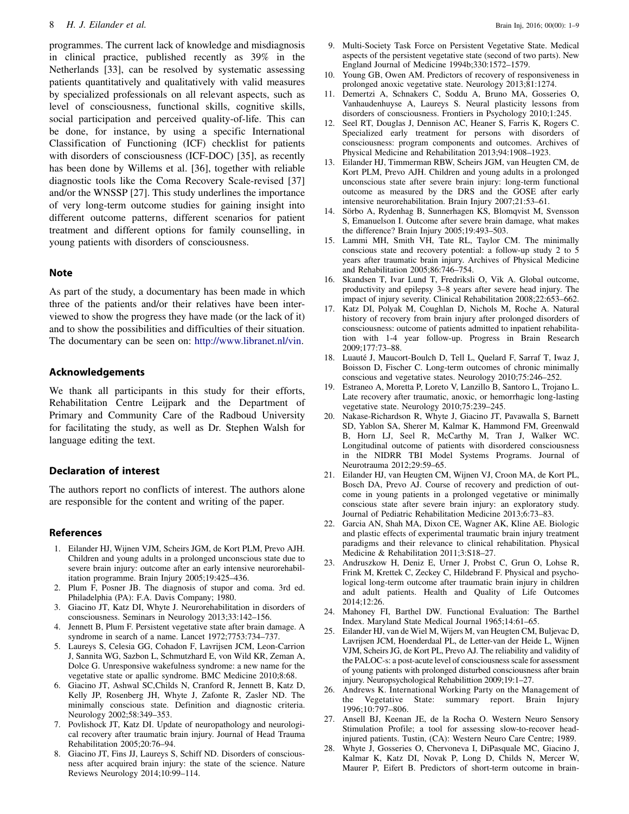#### 8 H. J. Eilander et al. **Brain Inj, 2016; 00(00):** 1–9

programmes. The current lack of knowledge and misdiagnosis in clinical practice, published recently as 39% in the Netherlands [33], can be resolved by systematic assessing patients quantitatively and qualitatively with valid measures by specialized professionals on all relevant aspects, such as level of consciousness, functional skills, cognitive skills, social participation and perceived quality-of-life. This can be done, for instance, by using a specific International Classification of Functioning (ICF) checklist for patients with disorders of consciousness (ICF-DOC) [35], as recently has been done by Willems et al. [36], together with reliable diagnostic tools like the Coma Recovery Scale-revised [37] and/or the WNSSP [27]. This study underlines the importance of very long-term outcome studies for gaining insight into different outcome patterns, different scenarios for patient treatment and different options for family counselling, in young patients with disorders of consciousness.

#### Note

As part of the study, a documentary has been made in which three of the patients and/or their relatives have been interviewed to show the progress they have made (or the lack of it) and to show the possibilities and difficulties of their situation. The documentary can be seen on: <http://www.libranet.nl/vin>.

# Acknowledgements

We thank all participants in this study for their efforts, Rehabilitation Centre Leijpark and the Department of Primary and Community Care of the Radboud University for facilitating the study, as well as Dr. Stephen Walsh for language editing the text.

# Declaration of interest

The authors report no conflicts of interest. The authors alone are responsible for the content and writing of the paper.

#### References

- 1. Eilander HJ, Wijnen VJM, Scheirs JGM, de Kort PLM, Prevo AJH. Children and young adults in a prolonged unconscious state due to severe brain injury: outcome after an early intensive neurorehabilitation programme. Brain Injury 2005;19:425–436.
- 2. Plum F, Posner JB. The diagnosis of stupor and coma. 3rd ed. Philadelphia (PA): F.A. Davis Company; 1980.
- 3. Giacino JT, Katz DI, Whyte J. Neurorehabilitation in disorders of consciousness. Seminars in Neurology 2013;33:142–156.
- 4. Jennett B, Plum F. Persistent vegetative state after brain damage. A syndrome in search of a name. Lancet 1972;7753:734–737.
- 5. Laureys S, Celesia GG, Cohadon F, Lavrijsen JCM, Leon-Carrion J, Sannita WG, Sazbon L, Schmutzhard E, von Wild KR, Zeman A, Dolce G. Unresponsive wakefulness syndrome: a new name for the vegetative state or apallic syndrome. BMC Medicine 2010;8:68.
- 6. Giacino JT, Ashwal SC,Childs N, Cranford R, Jennett B, Katz D, Kelly JP, Rosenberg JH, Whyte J, Zafonte R, Zasler ND. The minimally conscious state. Definition and diagnostic criteria. Neurology 2002;58:349–353.
- 7. Povlishock JT, Katz DI. Update of neuropathology and neurological recovery after traumatic brain injury. Journal of Head Trauma Rehabilitation 2005;20:76–94.
- Giacino JT, Fins JJ, Laureys S, Schiff ND. Disorders of consciousness after acquired brain injury: the state of the science. Nature Reviews Neurology 2014;10:99–114.
- 9. Multi-Society Task Force on Persistent Vegetative State. Medical aspects of the persistent vegetative state (second of two parts). New England Journal of Medicine 1994b;330:1572–1579.
- 10. Young GB, Owen AM. Predictors of recovery of responsiveness in prolonged anoxic vegetative state. Neurology 2013;81:1274.
- 11. Demertzi A, Schnakers C, Soddu A, Bruno MA, Gosseries O, Vanhaudenhuyse A, Laureys S. Neural plasticity lessons from disorders of consciousness. Frontiers in Psychology 2010;1:245.
- 12. Seel RT, Douglas J, Dennison AC, Heaner S, Farris K, Rogers C. Specialized early treatment for persons with disorders of consciousness: program components and outcomes. Archives of Physical Medicine and Rehabilitation 2013;94:1908–1923.
- 13. Eilander HJ, Timmerman RBW, Scheirs JGM, van Heugten CM, de Kort PLM, Prevo AJH. Children and young adults in a prolonged unconscious state after severe brain injury: long-term functional outcome as measured by the DRS and the GOSE after early intensive neurorehabilitation. Brain Injury 2007;21:53–61.
- 14. Sörbo A, Rydenhag B, Sunnerhagen KS, Blomqvist M, Svensson S, Emanuelson I. Outcome after severe brain damage, what makes the difference? Brain Injury 2005;19:493–503.
- 15. Lammi MH, Smith VH, Tate RL, Taylor CM. The minimally conscious state and recovery potential: a follow-up study 2 to 5 years after traumatic brain injury. Archives of Physical Medicine and Rehabilitation 2005;86:746–754.
- 16. Skandsen T, Ivar Lund T, Fredriksli O, Vik A. Global outcome, productivity and epilepsy 3–8 years after severe head injury. The impact of injury severity. Clinical Rehabilitation 2008;22:653–662.
- 17. Katz DI, Polyak M, Coughlan D, Nichols M, Roche A. Natural history of recovery from brain injury after prolonged disorders of consciousness: outcome of patients admitted to inpatient rehabilitation with 1-4 year follow-up. Progress in Brain Research 2009;177:73–88.
- 18. Luauté J, Maucort-Boulch D, Tell L, Quelard F, Sarraf T, Iwaz J, Boisson D, Fischer C. Long-term outcomes of chronic minimally conscious and vegetative states. Neurology 2010;75:246–252.
- 19. Estraneo A, Moretta P, Loreto V, Lanzillo B, Santoro L, Trojano L. Late recovery after traumatic, anoxic, or hemorrhagic long-lasting vegetative state. Neurology 2010;75:239–245.
- 20. Nakase-Richardson R, Whyte J, Giacino JT, Pavawalla S, Barnett SD, Yablon SA, Sherer M, Kalmar K, Hammond FM, Greenwald B, Horn LJ, Seel R, McCarthy M, Tran J, Walker WC. Longitudinal outcome of patients with disordered consciousness in the NIDRR TBI Model Systems Programs. Journal of Neurotrauma 2012;29:59–65.
- 21. Eilander HJ, van Heugten CM, Wijnen VJ, Croon MA, de Kort PL, Bosch DA, Prevo AJ. Course of recovery and prediction of outcome in young patients in a prolonged vegetative or minimally conscious state after severe brain injury: an exploratory study. Journal of Pediatric Rehabilitation Medicine 2013;6:73–83.
- 22. Garcia AN, Shah MA, Dixon CE, Wagner AK, Kline AE. Biologic and plastic effects of experimental traumatic brain injury treatment paradigms and their relevance to clinical rehabilitation. Physical Medicine & Rehabilitation 2011;3:S18–27.
- 23. Andruszkow H, Deniz E, Urner J, Probst C, Grun O, Lohse R, Frink M, Krettek C, Zeckey C, Hildebrand F. Physical and psychological long-term outcome after traumatic brain injury in children and adult patients. Health and Quality of Life Outcomes 2014;12:26.
- 24. Mahoney FI, Barthel DW. Functional Evaluation: The Barthel Index. Maryland State Medical Journal 1965;14:61–65.
- 25. Eilander HJ, van de Wiel M, Wijers M, van Heugten CM, Buljevac D, Lavrijsen JCM, Hoenderdaal PL, de Letter-van der Heide L, Wijnen VJM, Scheirs JG, de Kort PL, Prevo AJ. The reliability and validity of the PALOC-s: a post-acute level of consciousness scale for assessment of young patients with prolonged disturbed consciousness after brain injury. Neuropsychological Rehabilittion 2009;19:1–27.
- 26. Andrews K. International Working Party on the Management of the Vegetative State: summary report. Brain Injury 1996;10:797–806.
- 27. Ansell BJ, Keenan JE, de la Rocha O. Western Neuro Sensory Stimulation Profile; a tool for assessing slow-to-recover headinjured patients. Tustin, (CA): Western Neuro Care Centre; 1989.
- 28. Whyte J, Gosseries O, Chervoneva I, DiPasquale MC, Giacino J, Kalmar K, Katz DI, Novak P, Long D, Childs N, Mercer W, Maurer P, Eifert B. Predictors of short-term outcome in brain-